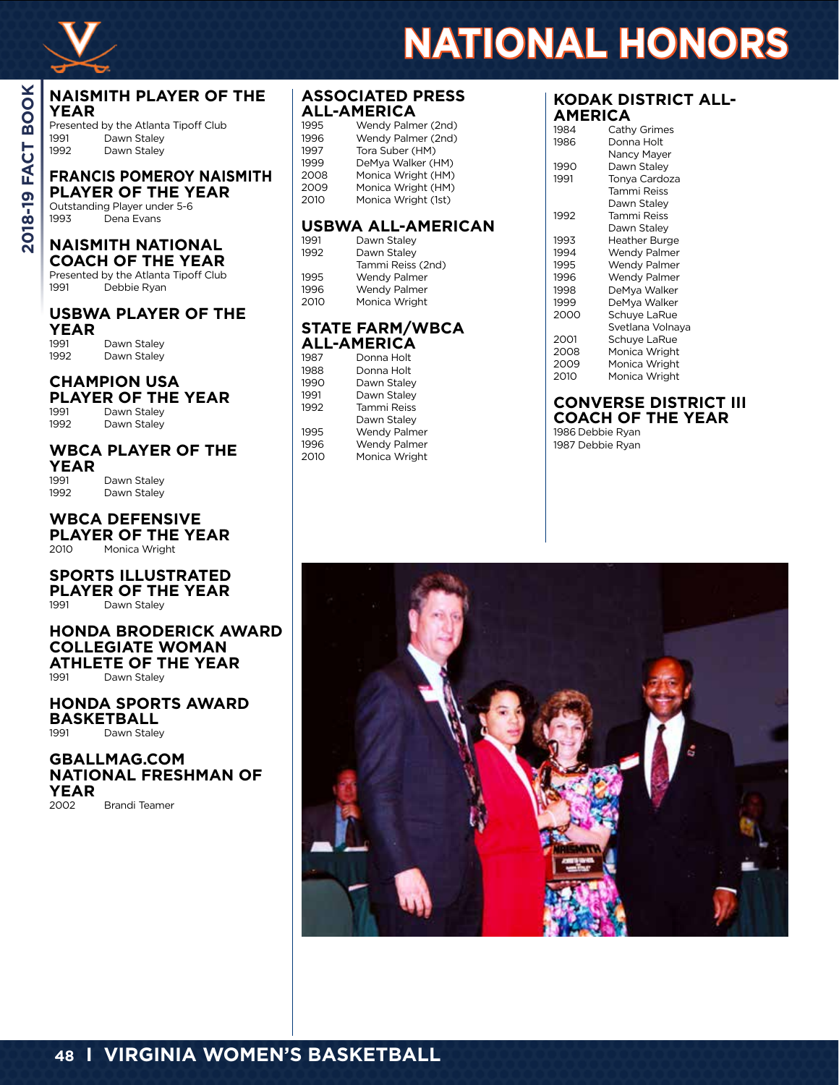

#### **NAISMITH PLAYER OF THE YEAR**

Presented by the Atlanta Tipoff Club 1991 Dawn Staley 1992 Dawn Staley

**FRANCIS POMEROY NAISMITH PLAYER OF THE YEAR** 

Outstanding Player under 5-6 1993 Dena Evans

#### **NAISMITH NATIONAL COACH OF THE YEAR**

Presented by the Atlanta Tipoff Club<br>1991 Debbie Ryan Debbie Ryan

## **USBWA PLAYER OF THE YEAR**

1991 Dawn Staley<br>1992 Dawn Staley Dawn Staley

## **CHAMPION USA PLAYER OF THE YEAR**<br>1991 Dawn Staley

Dawn Staley 1992 Dawn Staley

# **WBCA PLAYER OF THE**

**YEAR** 1991 Dawn Staley<br>1992 Dawn Staley Dawn Staley

**WBCA DEFENSIVE PLAYER OF THE YEAR**<br>2010 Monica Wright Monica Wright

## **SPORTS ILLUSTRATED PLAYER OF THE YEAR**<br>1991 Dawn Stalev

Dawn Staley

#### **HONDA BRODERICK AWARD COLLEGIATE WOMAN ATHLETE OF THE YEAR**<br>1991 Dawn Stalev Dawn Staley

#### **HONDA SPORTS AWARD BASKETBALL** Dawn Staley

**GBALLMAG.COM NATIONAL FRESHMAN OF YEAR**

Brandi Teamer

## **ASSOCIATED PRESS ALL-AMERICA**

| 1995 | Wendy Palmer (2nd)  |
|------|---------------------|
| 1996 | Wendy Palmer (2nd)  |
| 1997 | Tora Suber (HM)     |
| 1999 | DeMva Walker (HM)   |
| 2008 | Monica Wright (HM)  |
| 2009 | Monica Wright (HM)  |
| 2010 | Monica Wright (1st) |

#### **USBWA ALL-AMERICAN**

| 1991 | Dawn Stalev       |
|------|-------------------|
| 1992 | Dawn Stalev       |
|      | Tammi Reiss (2nd) |
| 1995 | Wendy Palmer      |
| 1996 | Wendy Palmer      |
| 2010 | Monica Wright     |
|      |                   |

#### **STATE FARM/WBCA ALL-AMERICA**

| 1987 | Donna Holt    |
|------|---------------|
| 1988 | Donna Holt    |
| 1990 | Dawn Staley   |
| 1991 | Dawn Staley   |
| 1992 | Tammi Reiss   |
|      | Dawn Staley   |
| 1995 | Wendy Palmer  |
| 1996 | Wendy Palmer  |
| 2010 | Monica Wright |

#### **KODAK DISTRICT ALL-AMERICA**

**NATIONAL HONORS**

| 1984 | Cathy Grimes     |
|------|------------------|
| 1986 | Donna Holt       |
|      | Nancy Mayer      |
| 1990 | Dawn Staley      |
| 1991 | Tonya Cardoza    |
|      | Tammi Reiss      |
|      | Dawn Staley      |
| 1992 | Tammi Reiss      |
|      | Dawn Staley      |
| 1993 | Heather Burge    |
| 1994 | Wendy Palmer     |
| 1995 | Wendy Palmer     |
| 1996 | Wendy Palmer     |
| 1998 | DeMya Walker     |
| 1999 | DeMya Walker     |
| 2000 | Schuye LaRue     |
|      | Svetlana Volnaya |
| 2001 | Schuye LaRue     |
| 2008 | Monica Wright    |
| 2009 | Monica Wright    |
| 2010 | Monica Wright    |
|      |                  |

## **CONVERSE DISTRICT III COACH OF THE YEAR**

1986 Debbie Ryan 1987 Debbie Ryan

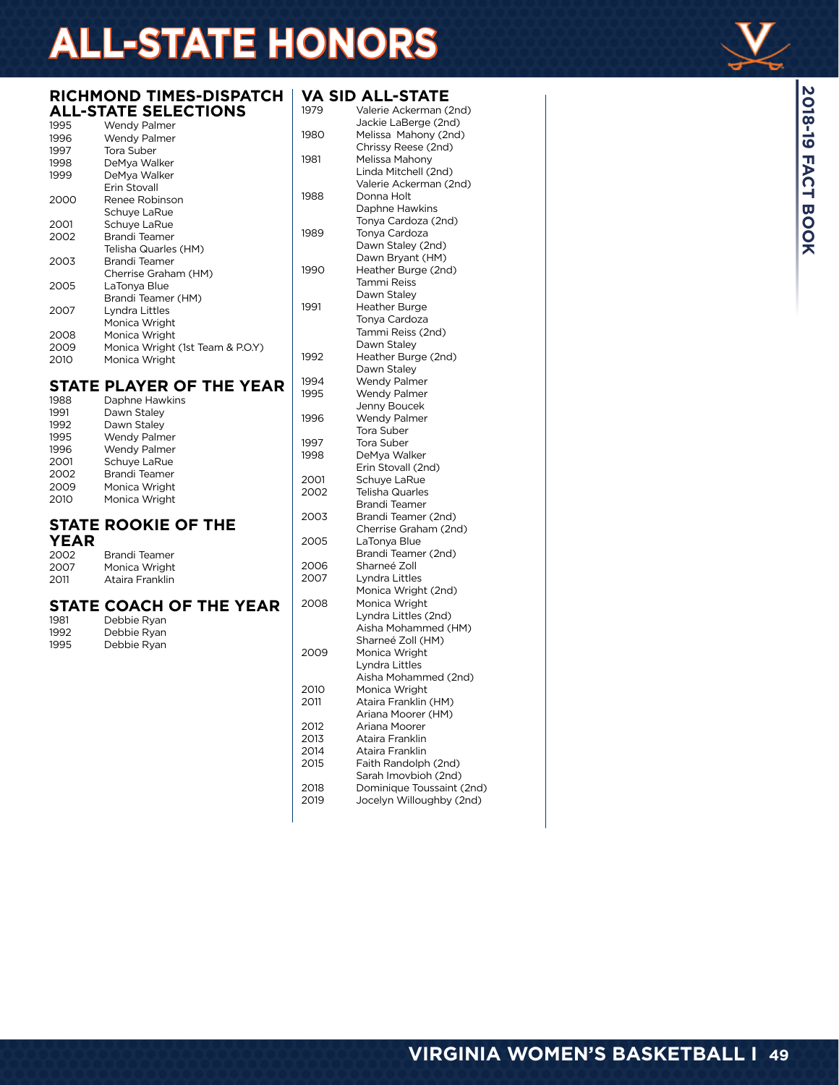# **ALL-STATE HONORS**

#### **RICHMOND TIMES-DISPATCH VA SID ALL-STATE ALL-STATE SELECTIONS**

| 1995 | Wendy Palmer                     |
|------|----------------------------------|
| 1996 | Wendy Palmer                     |
| 1997 | Tora Suber                       |
| 1998 | DeMya Walker                     |
| 1999 | DeMya Walker                     |
|      | Erin Stovall                     |
| 2000 | Renee Robinson                   |
|      | Schuye LaRue                     |
| 2001 | Schuye LaRue                     |
| 2002 | Brandi Teamer                    |
|      | Telisha Quarles (HM)             |
| 2003 | Brandi Teamer                    |
|      | Cherrise Graham (HM)             |
| 2005 | LaTonya Blue                     |
|      | Brandi Teamer (HM)               |
| 2007 | Lyndra Littles                   |
|      | Monica Wright                    |
| 2008 | Monica Wright                    |
| 2009 | Monica Wright (1st Team & P.O.Y) |
| 2010 | Monica Wright                    |

## **STATE PLAYER OF THE YEAR**

| 1988 | Daphne Hawkins      |
|------|---------------------|
| 1991 | Dawn Staley         |
| 1992 | Dawn Stalev         |
| 1995 | Wendy Palmer        |
| 1996 | <b>Wendy Palmer</b> |
| 2001 | Schuye LaRue        |
| 2002 | Brandi Teamer       |
| 2009 | Monica Wright       |
| 2010 | Monica Wright       |
|      |                     |

## **STATE ROOKIE OF THE**

## **YEAR**

| 2002 | Brandi Teamer   |
|------|-----------------|
| 2007 | Monica Wright   |
| 2011 | Ataira Franklin |

## **STATE COACH OF THE YEAR**

| 1981 | Debbie Ryan |
|------|-------------|
| 1992 | Debbie Ryan |
| 1995 | Debbie Ryan |

| 1979         | Valerie Ackerman (2nd)                |
|--------------|---------------------------------------|
|              | Jackie LaBerge (2nd)                  |
| 1980         | Melissa Mahony (2nd)                  |
| 1981         | Chrissy Reese (2nd)<br>Melissa Mahony |
|              | Linda Mitchell (2nd)                  |
|              | Valerie Ackerman (2nd)                |
| 1988         | Donna Holt                            |
|              | Daphne Hawkins                        |
|              | Tonya Cardoza (2nd)                   |
| 1989         | Tonya Cardoza                         |
|              | Dawn Staley (2nd)                     |
|              | Dawn Bryant (HM)                      |
| 1990         | Heather Burge (2nd)                   |
|              | Tammi Reiss                           |
|              | Dawn Staley                           |
| 1991         | Heather Burge                         |
|              | Tonya Cardoza                         |
|              | Tammi Reiss (2nd)<br>Dawn Staley      |
| 1992         | Heather Burge (2nd)                   |
|              | Dawn Staley                           |
| 1994         | <b>Wendy Palmer</b>                   |
| 1995         | Wendy Palmer                          |
|              | Jenny Boucek                          |
| 1996         | <b>Wendy Palmer</b>                   |
|              | Tora Suber                            |
| 1997         | Tora Suber                            |
| 1998         | DeMya Walker                          |
| 2001         | Erin Stovall (2nd)<br>Schuye LaRue    |
| 2002         | <b>Telisha Quarles</b>                |
|              | Brandi Teamer                         |
| 2003         | Brandi Teamer (2nd)                   |
|              | Cherrise Graham (2nd)                 |
| 2005         | LaTonya Blue                          |
|              | Brandi Teamer (2nd)                   |
| 2006         | Sharneé Zoll                          |
| 2007         | Lyndra Littles                        |
|              | Monica Wright (2nd)                   |
| 2008         | Monica Wright<br>Lyndra Littles (2nd) |
|              | Aisha Mohammed (HM)                   |
|              | Sharneé Zoll (HM)                     |
| 2009         | Monica Wright                         |
|              | Lyndra Littles                        |
|              | Aisha Mohammed (2nd)                  |
| 2010         | Monica Wright                         |
| 2011         | Ataira Franklin (HM)                  |
|              | Ariana Moorer (HM)                    |
| 2012         | Ariana Moorer                         |
| 2013<br>2014 | Ataira Franklin<br>Ataira Franklin    |
| 2015         | Faith Randolph (2nd)                  |
|              | Sarah Imovbioh (2nd)                  |
| 2018         | Dominique Toussaint (2nd)             |
| 2019         | Jocelyn Willoughby (2nd)              |
|              |                                       |
|              |                                       |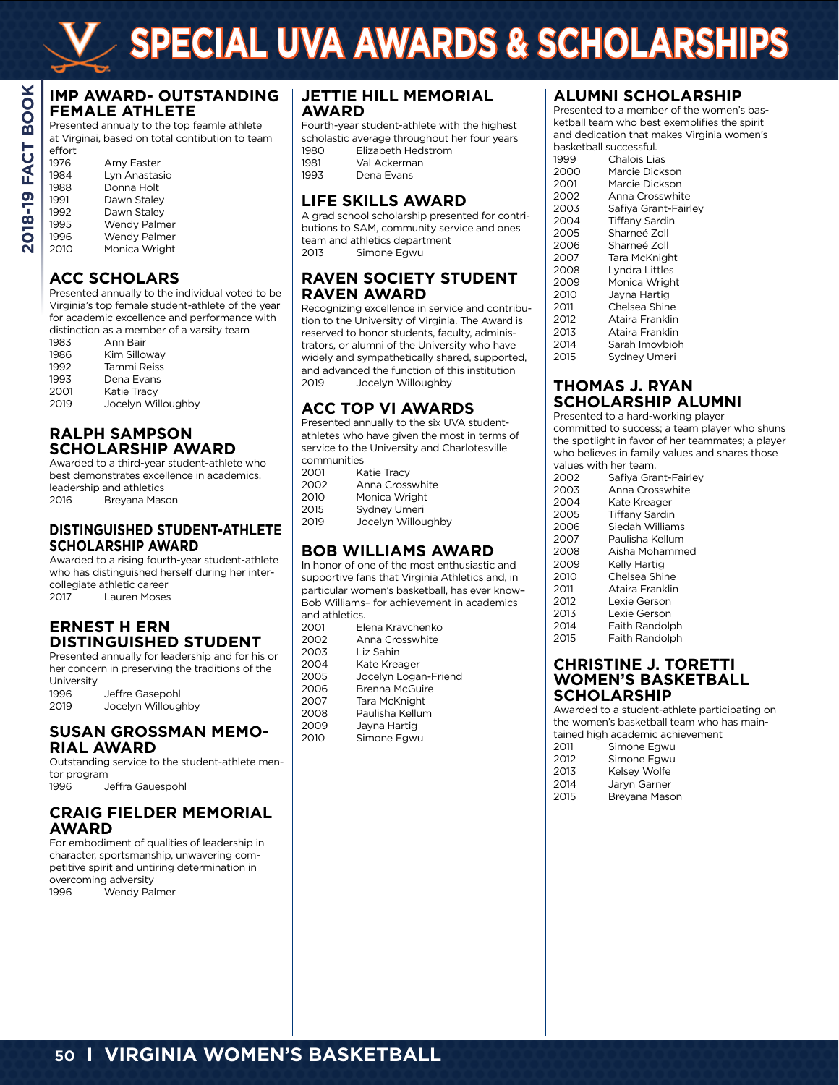#### **IMP AWARD- OUTSTANDING FEMALE ATHLETE**

Presented annualy to the top feamle athlete at Virginai, based on total contibution to team

| effort |                     |
|--------|---------------------|
| 1976   | Amy Easter          |
| 1984   | Lyn Anastasio       |
| 1988   | Donna Holt          |
| 1991   | Dawn Staley         |
| 1992   | Dawn Staley         |
| 1995   | <b>Wendy Palmer</b> |
| 1996   | <b>Wendy Palmer</b> |
| 2010   | Monica Wright       |

## **ACC SCHOLARS**

Presented annually to the individual voted to be Virginia's top female student-athlete of the year for academic excellence and performance with distinction as a member of a varsity team

|      | abuncuon as a mcmbci ora va |
|------|-----------------------------|
| 1983 | Ann Bair                    |
| 1986 | Kim Silloway                |
| 1992 | Tammi Reiss                 |
| 1993 | Dena Evans                  |
| 2001 | Katie Tracy                 |
| 2019 | Jocelyn Willoughby          |
|      |                             |

## **RALPH SAMPSON SCHOLARSHIP AWARD**

Awarded to a third-year student-athlete who best demonstrates excellence in academics, leadership and athletics 2016 Breyana Mason

#### **DISTINGUISHED STUDENT-ATHLETE SCHOLARSHIP AWARD**

Awarded to a rising fourth-year student-athlete who has distinguished herself during her intercollegiate athletic career 2017 Lauren Moses

## **ERNEST H ERN DISTINGUISHED STUDENT**

Presented annually for leadership and for his or her concern in preserving the traditions of the University 1996 Jeffre Gasepohl

2019 Jocelyn Willoughby

#### **SUSAN GROSSMAN MEMO-RIAL AWARD**

Outstanding service to the student-athlete mentor program 1996 Jeffra Gauespohl

## **CRAIG FIELDER MEMORIAL AWARD**

For embodiment of qualities of leadership in character, sportsmanship, unwavering competitive spirit and untiring determination in overcoming adversity 1996 Wendy Palmer

## **JETTIE HILL MEMORIAL AWARD**

Fourth-year student-athlete with the highest scholastic average throughout her four years

| 1980 | Elizabeth Hedstrom |
|------|--------------------|
| 1981 | Val Ackerman       |
| 1993 | Dena Evans         |
|      |                    |

## **LIFE SKILLS AWARD**

A grad school scholarship presented for contributions to SAM, community service and ones team and athletics department 2013 Simone Egwu

## **RAVEN SOCIETY STUDENT RAVEN AWARD**

Recognizing excellence in service and contribution to the University of Virginia. The Award is reserved to honor students, faculty, administrators, or alumni of the University who have widely and sympathetically shared, supported, and advanced the function of this institution 2019 Jocelyn Willoughby

## **ACC TOP VI AWARDS**

Presented annually to the six UVA studentathletes who have given the most in terms of service to the University and Charlotesville communities

| 2001 | Katie Tracy        |
|------|--------------------|
| 2002 | Anna Crosswhite    |
| 2010 | Monica Wright      |
| 2015 | Sydney Umeri       |
| 2019 | Jocelyn Willoughby |

## **BOB WILLIAMS AWARD**

In honor of one of the most enthusiastic and supportive fans that Virginia Athletics and, in particular women's basketball, has ever know– .<br>Bob Williams- for achievement in academics and athletics.<br>2001 Ele

| 2001 | Elena Kravchenko     |
|------|----------------------|
| 2002 | Anna Crosswhite      |
| 2003 | Liz Sahin            |
| 2004 | Kate Kreager         |
| 2005 | Jocelyn Logan-Friend |
| 2006 | Brenna McGuire       |
| 2007 | Tara McKnight        |
| 2008 | Paulisha Kellum      |
| 2009 | Jayna Hartig         |
| 2010 | Simone Egwu          |
|      |                      |

## **ALUMNI SCHOLARSHIP**

Presented to a member of the women's basketball team who best exemplifies the spirit and dedication that makes Virginia women's basketball successful.

| ,,,,,,,,,,,,,,,,,,,,,,,, |                      |
|--------------------------|----------------------|
| 1999                     | Chalois Lias         |
| 2000                     | Marcie Dickson       |
| 2001                     | Marcie Dickson       |
| 2002                     | Anna Crosswhite      |
| 2003                     | Safiya Grant-Fairley |
| 2004                     | Tiffany Sardin       |
| 2005                     | Sharneé Zoll         |
| 2006                     | Sharneé Zoll         |
| 2007                     | Tara McKnight        |
| 2008                     | Lyndra Littles       |
| 2009                     | Monica Wright        |
| 2010                     | Jayna Hartig         |
| 2011                     | Chelsea Shine        |
| 2012                     | Ataira Franklin      |
| 2013                     | Ataira Franklin      |
| 2014                     | Sarah Imovbioh       |
| 2015                     | Sydney Umeri         |

## **THOMAS J. RYAN SCHOLARSHIP ALUMNI**

Presented to a hard-working player committed to success; a team player who shuns the spotlight in favor of her teammates; a player who believes in family values and shares those values with her team.

| 2002 | Safiya Grant-Fairley  |
|------|-----------------------|
| 2003 | Anna Crosswhite       |
| 2004 | Kate Kreager          |
| 2005 | <b>Tiffany Sardin</b> |
| 2006 | Siedah Williams       |
| 2007 | Paulisha Kellum       |
| 2008 | Aisha Mohammed        |
| 2009 | Kelly Hartig          |
| 2010 | Chelsea Shine         |
| 2011 | Ataira Franklin       |
| 2012 | Lexie Gerson          |
| 2013 | Lexie Gerson          |
| 2014 | Faith Randolph        |
| 2015 | Faith Randolph        |

#### **CHRISTINE J. TORETTI WOMEN'S BASKETBALL SCHOLARSHIP**

Awarded to a student-athlete participating on the women's basketball team who has maintained high academic achievement

|      | tail ica Tiigh acaach lic achit |
|------|---------------------------------|
| 2011 | Simone Egwu                     |
| 2012 | Simone Egwu                     |
| 2013 | Kelsev Wolfe                    |
| 2014 | Jaryn Garner                    |
| 2015 | Breyana Mason                   |